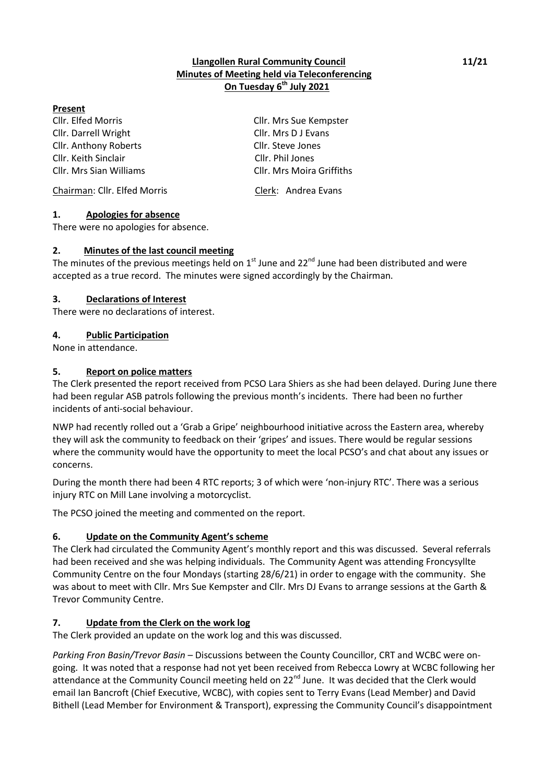# **Llangollen Rural Community Council 11/21 Minutes of Meeting held via Teleconferencing On Tuesday 6 th July 2021**

### **Present**

Cllr. Elfed Morris Cllr. Mrs Sue Kempster Cllr. Darrell Wright Cllr. Mrs D J Evans Cllr. Anthony Roberts Cllr. Steve Jones Cllr. Keith Sinclair Cllr. Phil Jones

Chairman: Cllr. Elfed Morris Clerk: Andrea Evans

#### **1. Apologies for absence**

There were no apologies for absence.

### **2. Minutes of the last council meeting**

The minutes of the previous meetings held on  $1<sup>st</sup>$  June and 22<sup>nd</sup> June had been distributed and were accepted as a true record. The minutes were signed accordingly by the Chairman.

### **3. Declarations of Interest**

There were no declarations of interest.

### **4. Public Participation**

None in attendance.

### **5. Report on police matters**

The Clerk presented the report received from PCSO Lara Shiers as she had been delayed. During June there had been regular ASB patrols following the previous month's incidents. There had been no further incidents of anti-social behaviour.

NWP had recently rolled out a 'Grab a Gripe' neighbourhood initiative across the Eastern area, whereby they will ask the community to feedback on their 'gripes' and issues. There would be regular sessions where the community would have the opportunity to meet the local PCSO's and chat about any issues or concerns.

During the month there had been 4 RTC reports; 3 of which were 'non-injury RTC'. There was a serious injury RTC on Mill Lane involving a motorcyclist.

The PCSO joined the meeting and commented on the report.

## **6. Update on the Community Agent's scheme**

The Clerk had circulated the Community Agent's monthly report and this was discussed. Several referrals had been received and she was helping individuals. The Community Agent was attending Froncysyllte Community Centre on the four Mondays (starting 28/6/21) in order to engage with the community. She was about to meet with Cllr. Mrs Sue Kempster and Cllr. Mrs DJ Evans to arrange sessions at the Garth & Trevor Community Centre.

## **7. Update from the Clerk on the work log**

The Clerk provided an update on the work log and this was discussed.

*Parking Fron Basin/Trevor Basin* – Discussions between the County Councillor, CRT and WCBC were ongoing. It was noted that a response had not yet been received from Rebecca Lowry at WCBC following her attendance at the Community Council meeting held on 22<sup>nd</sup> June. It was decided that the Clerk would email Ian Bancroft (Chief Executive, WCBC), with copies sent to Terry Evans (Lead Member) and David Bithell (Lead Member for Environment & Transport), expressing the Community Council's disappointment

Cllr. Mrs Sian Williams Cllr. Mrs Moira Griffiths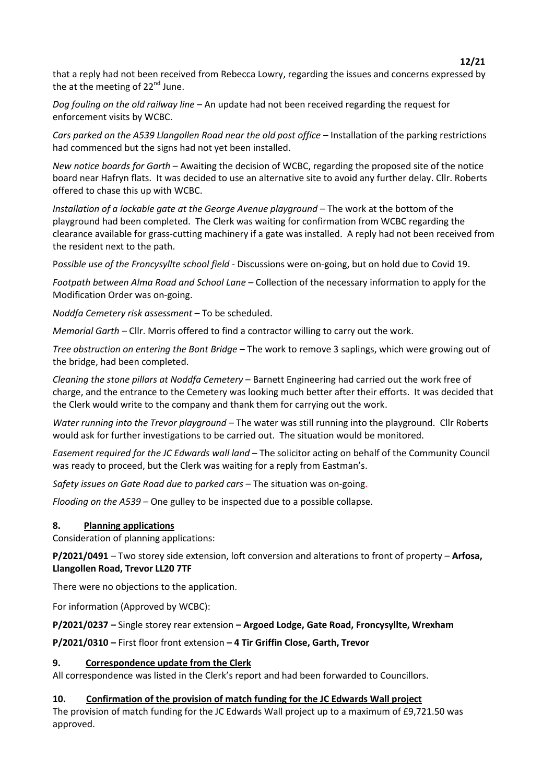that a reply had not been received from Rebecca Lowry, regarding the issues and concerns expressed by the at the meeting of  $22^{nd}$  June.

*Dog fouling on the old railway line* – An update had not been received regarding the request for enforcement visits by WCBC.

*Cars parked on the A539 Llangollen Road near the old post office* – Installation of the parking restrictions had commenced but the signs had not yet been installed.

*New notice boards for Garth* – Awaiting the decision of WCBC, regarding the proposed site of the notice board near Hafryn flats. It was decided to use an alternative site to avoid any further delay. Cllr. Roberts offered to chase this up with WCBC.

*Installation of a lockable gate at the George Avenue playground* – The work at the bottom of the playground had been completed. The Clerk was waiting for confirmation from WCBC regarding the clearance available for grass-cutting machinery if a gate was installed. A reply had not been received from the resident next to the path.

P*ossible use of the Froncysyllte school field* - Discussions were on-going, but on hold due to Covid 19.

*Footpath between Alma Road and School Lane* – Collection of the necessary information to apply for the Modification Order was on-going.

*Noddfa Cemetery risk assessment –* To be scheduled.

*Memorial Garth* – Cllr. Morris offered to find a contractor willing to carry out the work.

*Tree obstruction on entering the Bont Bridge* – The work to remove 3 saplings, which were growing out of the bridge, had been completed.

*Cleaning the stone pillars at Noddfa Cemetery* – Barnett Engineering had carried out the work free of charge, and the entrance to the Cemetery was looking much better after their efforts. It was decided that the Clerk would write to the company and thank them for carrying out the work.

*Water running into the Trevor playground* – The water was still running into the playground. Cllr Roberts would ask for further investigations to be carried out. The situation would be monitored.

*Easement required for the JC Edwards wall land* – The solicitor acting on behalf of the Community Council was ready to proceed, but the Clerk was waiting for a reply from Eastman's.

*Safety issues on Gate Road due to parked cars* – The situation was on-going.

*Flooding on the A539* – One gulley to be inspected due to a possible collapse.

## **8. Planning applications**

Consideration of planning applications:

**P/2021/0491** – Two storey side extension, loft conversion and alterations to front of property – **Arfosa, Llangollen Road, Trevor LL20 7TF**

There were no objections to the application.

For information (Approved by WCBC):

**P/2021/0237 –** Single storey rear extension **– Argoed Lodge, Gate Road, Froncysyllte, Wrexham**

#### **P/2021/0310 –** First floor front extension **– 4 Tir Griffin Close, Garth, Trevor**

## **9. Correspondence update from the Clerk**

All correspondence was listed in the Clerk's report and had been forwarded to Councillors.

#### **10. Confirmation of the provision of match funding for the JC Edwards Wall project**

The provision of match funding for the JC Edwards Wall project up to a maximum of £9,721.50 was approved.